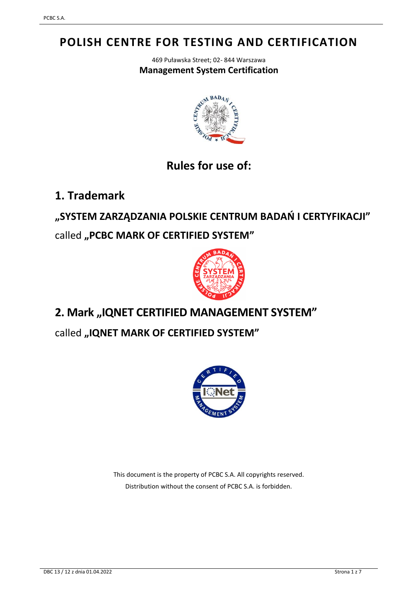# **POLISH CENTRE FOR TESTING AND CERTIFICATION**

469 Puławska Street; 02- 844 Warszawa **Management System Certification**



## **Rules for use of:**

**1. Trademark**

**"SYSTEM ZARZĄDZANIA POLSKIE CENTRUM BADAŃ I CERTYFIKACJI"** 

called **"PCBC MARK OF CERTIFIED SYSTEM"**



# **2. Mark "IQNET CERTIFIED MANAGEMENT SYSTEM"**

called **"IQNET MARK OF CERTIFIED SYSTEM"**



This document is the property of PCBC S.A. All copyrights reserved. Distribution without the consent of PCBC S.A. is forbidden.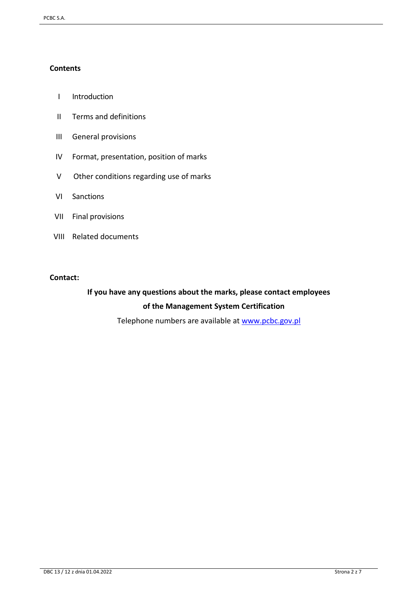#### **Contents**

- I Introduction
- II Terms and definitions
- III General provisions
- IV Format, presentation, position of marks
- V Other conditions regarding use of marks
- VI Sanctions
- VII Final provisions
- VIII Related documents

#### **Contact:**

### **If you have any questions about the marks, please contact employees of the Management System Certification**

Telephone numbers are available at [www.pcbc.gov.pl](http://www.pcbc.gov.pl/)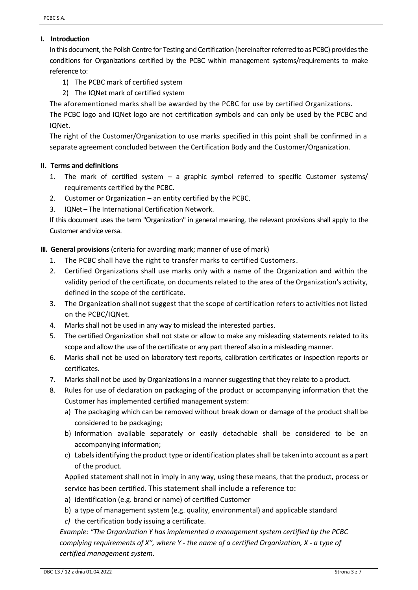#### **I. Introduction**

In this document, the Polish Centre for Testing and Certification (hereinafter referred to as PCBC) provides the conditions for Organizations certified by the PCBC within management systems/requirements to make reference to:

- 1) The PCBC mark of certified system
- 2) The IQNet mark of certified system

The aforementioned marks shall be awarded by the PCBC for use by certified Organizations.

The PCBC logo and IQNet logo are not certification symbols and can only be used by the PCBC and IQNet.

The right of the Customer/Organization to use marks specified in this point shall be confirmed in a separate agreement concluded between the Certification Body and the Customer/Organization.

#### **II. Terms and definitions**

- 1. The mark of certified system a graphic symbol referred to specific Customer systems/ requirements certified by the PCBC.
- 2. Customer or Organization an entity certified by the PCBC.
- 3. IQNet The International Certification Network.

If this document uses the term "Organization" in general meaning, the relevant provisions shall apply to the Customer and vice versa.

#### **III. General provisions** (criteria for awarding mark; manner of use of mark)

- 1. The PCBC shall have the right to transfer marks to certified Customers.
- 2. Certified Organizations shall use marks only with a name of the Organization and within the validity period of the certificate, on documents related to the area of the Organization's activity, defined in the scope of the certificate.
- 3. The Organization shall not suggest that the scope of certification refers to activities not listed on the PCBC/IQNet.
- 4. Marks shall not be used in any way to mislead the interested parties.
- 5. The certified Organization shall not state or allow to make any misleading statements related to its scope and allow the use of the certificate or any part thereof also in a misleading manner.
- 6. Marks shall not be used on laboratory test reports, calibration certificates or inspection reports or certificates.
- 7. Marks shall not be used by Organizations in a manner suggesting that they relate to a product.
- 8. Rules for use of declaration on packaging of the product or accompanying information that the Customer has implemented certified management system:
	- a) The packaging which can be removed without break down or damage of the product shall be considered to be packaging;
	- b) Information available separately or easily detachable shall be considered to be an accompanying information;
	- c) Labels identifying the product type or identification plates shall be taken into account as a part of the product.

Applied statement shall not in imply in any way, using these means, that the product, process or service has been certified. This statement shall include a reference to:

- a) identification (e.g. brand or name) of certified Customer
- b) a type of management system (e.g. quality, environmental) and applicable standard
- *c)* the certification body issuing a certificate.

*Example: "The Organization Y has implemented a management system certified by the PCBC complying requirements of X", where Y - the name of a certified Organization, X - a type of certified management system.*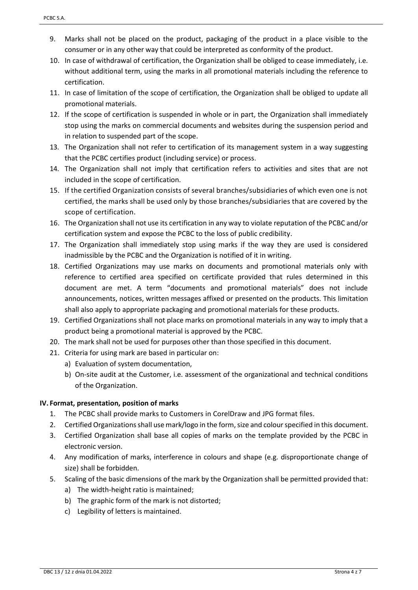- 9. Marks shall not be placed on the product, packaging of the product in a place visible to the consumer or in any other way that could be interpreted as conformity of the product.
- 10. In case of withdrawal of certification, the Organization shall be obliged to cease immediately, i.e. without additional term, using the marks in all promotional materials including the reference to certification.
- 11. In case of limitation of the scope of certification, the Organization shall be obliged to update all promotional materials.
- 12. If the scope of certification is suspended in whole or in part, the Organization shall immediately stop using the marks on commercial documents and websites during the suspension period and in relation to suspended part of the scope.
- 13. The Organization shall not refer to certification of its management system in a way suggesting that the PCBC certifies product (including service) or process.
- 14. The Organization shall not imply that certification refers to activities and sites that are not included in the scope of certification.
- 15. If the certified Organization consists of several branches/subsidiaries of which even one is not certified, the marks shall be used only by those branches/subsidiaries that are covered by the scope of certification.
- 16. The Organization shall not use its certification in any way to violate reputation of the PCBC and/or certification system and expose the PCBC to the loss of public credibility.
- 17. The Organization shall immediately stop using marks if the way they are used is considered inadmissible by the PCBC and the Organization is notified of it in writing.
- 18. Certified Organizations may use marks on documents and promotional materials only with reference to certified area specified on certificate provided that rules determined in this document are met. A term "documents and promotional materials" does not include announcements, notices, written messages affixed or presented on the products. This limitation shall also apply to appropriate packaging and promotional materials for these products.
- 19. Certified Organizations shall not place marks on promotional materials in any way to imply that a product being a promotional material is approved by the PCBC.
- 20. The mark shall not be used for purposes other than those specified in this document.
- 21. Criteria for using mark are based in particular on:
	- a) Evaluation of system documentation,
	- b) On-site audit at the Customer, i.e. assessment of the organizational and technical conditions of the Organization.

#### **IV. Format, presentation, position of marks**

- 1. The PCBC shall provide marks to Customers in CorelDraw and JPG format files.
- 2. Certified Organizations shall use mark/logo in the form, size and colour specified in this document.
- 3. Certified Organization shall base all copies of marks on the template provided by the PCBC in electronic version.
- 4. Any modification of marks, interference in colours and shape (e.g. disproportionate change of size) shall be forbidden.
- 5. Scaling of the basic dimensions of the mark by the Organization shall be permitted provided that:
	- a) The width-height ratio is maintained;
	- b) The graphic form of the mark is not distorted;
	- c) Legibility of letters is maintained.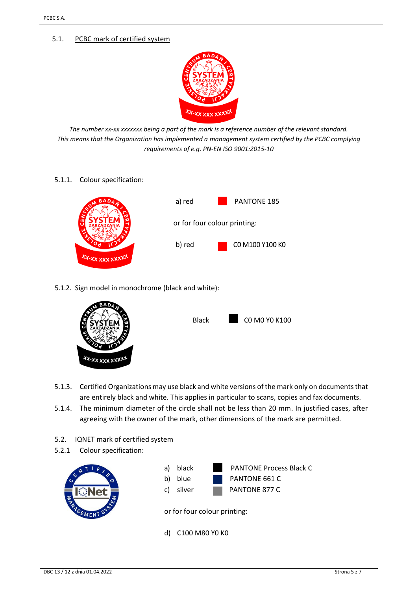#### 5.1. PCBC mark of certified system



*The number xx-xx xxxxxxx being a part of the mark is a reference number of the relevant standard. This means that the Organization has implemented a management system certified by the PCBC complying requirements of e.g. PN-EN ISO 9001:2015-10*

5.1.1. Colour specification:



5.1.2. Sign model in monochrome (black and white):



| <b>Black</b> | CO MO YO K100 |
|--------------|---------------|
|              |               |

- 5.1.3. Certified Organizations may use black and white versions of the mark only on documents that are entirely black and white. This applies in particular to scans, copies and fax documents.
- 5.1.4. The minimum diameter of the circle shall not be less than 20 mm. In justified cases, after agreeing with the owner of the mark, other dimensions of the mark are permitted.

#### 5.2. **IQNET mark of certified system**

5.2.1 Colour specification:



d) C100 M80 Y0 K0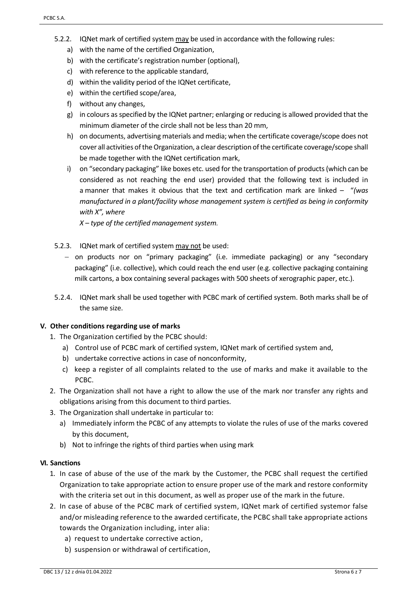- 5.2.2. IQNet mark of certified system may be used in accordance with the following rules:
	- a) with the name of the certified Organization,
	- b) with the certificate's registration number (optional),
	- c) with reference to the applicable standard,
	- d) within the validity period of the IQNet certificate,
	- e) within the certified scope/area,
	- f) without any changes,
	- g) in colours as specified by the IQNet partner; enlarging or reducing is allowed provided that the minimum diameter of the circle shall not be less than 20 mm,
	- h) on documents, advertising materials and media; when the certificate coverage/scope does not cover all activities of the Organization, a clear description of the certificate coverage/scope shall be made together with the IQNet certification mark,
	- i) on "secondary packaging" like boxes etc. used for the transportation of products (which can be considered as not reaching the end user) provided that the following text is included in a manner that makes it obvious that the text and certification mark are linked – "*(was manufactured in a plant/facility whose management system is certified as being in conformity with X", where*

*X – type of the certified management system.*

- 5.2.3. IQNet mark of certified system may not be used:
	- − on products nor on "primary packaging" (i.e. immediate packaging) or any "secondary packaging" (i.e. collective), which could reach the end user (e.g. collective packaging containing milk cartons, a box containing several packages with 500 sheets of xerographic paper, etc.).
- 5.2.4. IQNet mark shall be used together with PCBC mark of certified system. Both marks shall be of the same size.

#### **V. Other conditions regarding use of marks**

- 1. The Organization certified by the PCBC should:
	- a) Control use of PCBC mark of certified system, IQNet mark of certified system and,
	- b) undertake corrective actions in case of nonconformity,
	- c) keep a register of all complaints related to the use of marks and make it available to the PCBC.
- 2. The Organization shall not have a right to allow the use of the mark nor transfer any rights and obligations arising from this document to third parties.
- 3. The Organization shall undertake in particular to:
	- a) Immediately inform the PCBC of any attempts to violate the rules of use of the marks covered by this document,
	- b) Not to infringe the rights of third parties when using mark

#### **VI. Sanctions**

- 1. In case of abuse of the use of the mark by the Customer, the PCBC shall request the certified Organization to take appropriate action to ensure proper use of the mark and restore conformity with the criteria set out in this document, as well as proper use of the mark in the future.
- 2. In case of abuse of the PCBC mark of certified system, IQNet mark of certified systemor false and/or misleading reference to the awarded certificate, the PCBC shall take appropriate actions towards the Organization including, inter alia:
	- a) request to undertake corrective action,
	- b) suspension or withdrawal of certification,